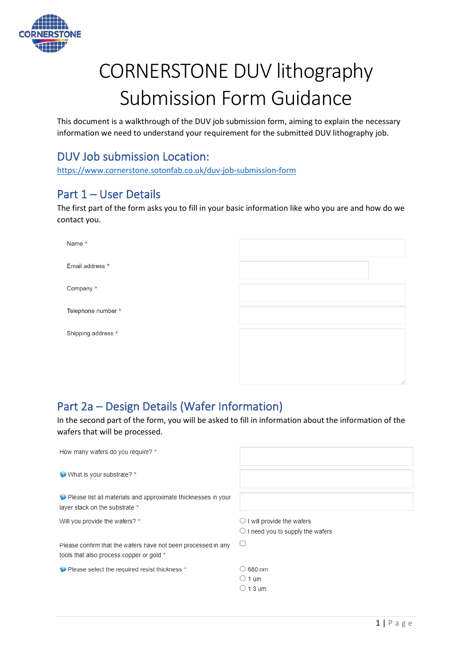

# CORNERSTONE DUV lithography Submission Form Guidance

This document is a walkthrough of the DUV job submission form, aiming to explain the necessary information we need to understand your requirement for the submitted DUV lithography job.

# DUV Job submission Location:

<https://www.cornerstone.sotonfab.co.uk/duv-job-submission-form>

# Part 1 – User Details

The first part of the form asks you to fill in your basic information like who you are and how do we contact you.

| Name *             |  |
|--------------------|--|
| Email address *    |  |
| Company *          |  |
| Telephone number * |  |
| Shipping address * |  |
|                    |  |
|                    |  |

# Part 2a – Design Details (Wafer Information)

In the second part of the form, you will be asked to fill in information about the information of the wafers that will be processed.

| How many wafers do you require? *                                                                         |                                                                                    |
|-----------------------------------------------------------------------------------------------------------|------------------------------------------------------------------------------------|
| What is your substrate? *                                                                                 |                                                                                    |
| Please list all materials and approximate thicknesses in your<br>layer stack on the substrate *           |                                                                                    |
| Will you provide the wafers? *                                                                            | $\bigcirc$ I will provide the wafers<br>$\bigcirc$ I need you to supply the wafers |
| Please confirm that the wafers have not been processed in any<br>tools that also process copper or gold * |                                                                                    |
| Please select the required resist thickness *                                                             | $\bigcirc$ 680 nm<br>$\circ$ 1 um<br>$\circlearrowright$ 1.3 um                    |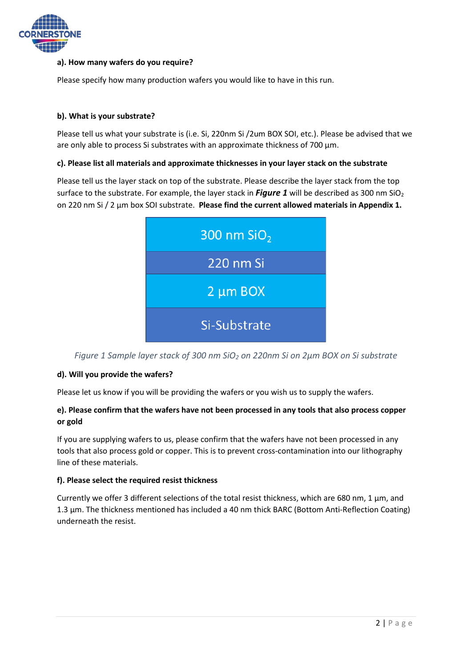

# **a). How many wafers do you require?**

Please specify how many production wafers you would like to have in this run.

# **b). What is your substrate?**

Please tell us what your substrate is (i.e. Si, 220nm Si /2um BOX SOI, etc.). Please be advised that we are only able to process Si substrates with an approximate thickness of 700  $\mu$ m.

### **c). Please list all materials and approximate thicknesses in your layer stack on the substrate**

Please tell us the layer stack on top of the substrate. Please describe the layer stack from the top surface to the substrate. For example, the layer stack in *[Figure 1](#page-1-0)* will be described as 300 nm SiO<sub>2</sub> on 220 nm Si / 2 µm box SOI substrate. **Please find the current allowed materials in Appendix 1.**



<span id="page-1-0"></span>*Figure 1 Sample layer stack of 300 nm SiO2 on 220nm Si on 2µm BOX on Si substrate*

### **d). Will you provide the wafers?**

Please let us know if you will be providing the wafers or you wish us to supply the wafers.

# **e). Please confirm that the wafers have not been processed in any tools that also process copper or gold**

If you are supplying wafers to us, please confirm that the wafers have not been processed in any tools that also process gold or copper. This is to prevent cross-contamination into our lithography line of these materials.

### **f). Please select the required resist thickness**

Currently we offer 3 different selections of the total resist thickness, which are 680 nm, 1  $\mu$ m, and 1.3 µm. The thickness mentioned has included a 40 nm thick BARC (Bottom Anti-Reflection Coating) underneath the resist.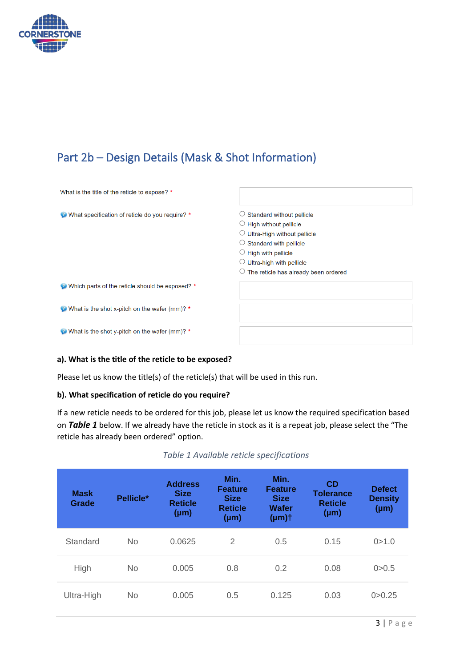

# Part 2b – Design Details (Mask & Shot Information)

| What is the title of the reticle to expose? *                 |                                                                                                                                                                                                                                                                                       |
|---------------------------------------------------------------|---------------------------------------------------------------------------------------------------------------------------------------------------------------------------------------------------------------------------------------------------------------------------------------|
| What specification of reticle do you require? *               | $\circlearrowright$ Standard without pellicle<br>$\circ$ High without pellicle<br>$\circ$ Ultra-High without pellicle<br>$\circ$ Standard with pellicle<br>$\circlearrowright$ High with pellicle<br>$\circ$ Ultra-high with pellicle<br>$\circ$ The reticle has already been ordered |
| Which parts of the reticle should be exposed? *               |                                                                                                                                                                                                                                                                                       |
| $\bullet$ What is the shot x-pitch on the wafer (mm)? $\star$ |                                                                                                                                                                                                                                                                                       |
| What is the shot y-pitch on the wafer (mm)? *                 |                                                                                                                                                                                                                                                                                       |

# **a). What is the title of the reticle to be exposed?**

Please let us know the title(s) of the reticle(s) that will be used in this run.

# **b). What specification of reticle do you require?**

If a new reticle needs to be ordered for this job, please let us know the required specification based on *[Table 1](#page-2-0)* below. If we already have the reticle in stock as it is a repeat job, please select the "The reticle has already been ordered" option.

### *Table 1 Available reticle specifications*

<span id="page-2-0"></span>

| <b>Mask</b><br>Grade | Pellicle* | <b>Address</b><br><b>Size</b><br><b>Reticle</b><br>$(\mu m)$ | Min.<br><b>Feature</b><br><b>Size</b><br><b>Reticle</b><br>$(\mu m)$ | Min.<br><b>Feature</b><br><b>Size</b><br><b>Wafer</b><br>$(\mu m)$ t | CD<br><b>Tolerance</b><br><b>Reticle</b><br>$(\mu m)$ | <b>Defect</b><br><b>Density</b><br>$(\mu m)$ |
|----------------------|-----------|--------------------------------------------------------------|----------------------------------------------------------------------|----------------------------------------------------------------------|-------------------------------------------------------|----------------------------------------------|
| Standard             | <b>No</b> | 0.0625                                                       | $\overline{2}$                                                       | 0.5                                                                  | 0.15                                                  | 0 > 1.0                                      |
| High                 | <b>No</b> | 0.005                                                        | 0.8                                                                  | 0.2                                                                  | 0.08                                                  | 0 > 0.5                                      |
| Ultra-High           | <b>No</b> | 0.005                                                        | 0.5                                                                  | 0.125                                                                | 0.03                                                  | 0 > 0.25                                     |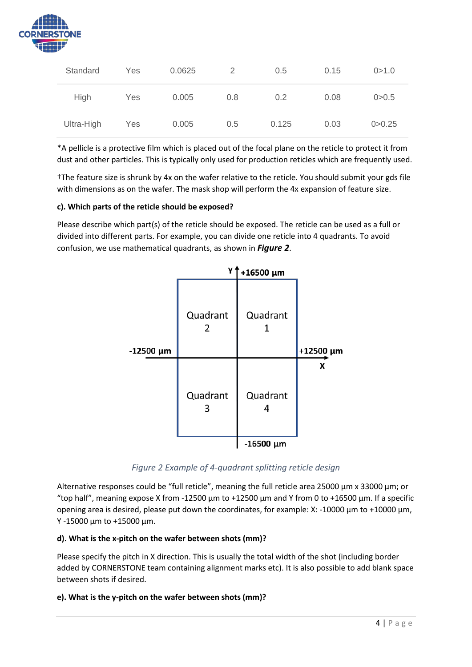

| Standard   | Yes | 0.0625 | 2   | 0.5   | 0.15 | 0 > 1.0  |
|------------|-----|--------|-----|-------|------|----------|
| High       | Yes | 0.005  | 0.8 | 0.2   | 0.08 | 0 > 0.5  |
| Ultra-High | Yes | 0.005  | 0.5 | 0.125 | 0.03 | 0 > 0.25 |

\*A pellicle is a protective film which is placed out of the focal plane on the reticle to protect it from dust and other particles. This is typically only used for production reticles which are frequently used.

†The feature size is shrunk by 4x on the wafer relative to the reticle. You should submit your gds file with dimensions as on the wafer. The mask shop will perform the 4x expansion of feature size.

# **c). Which parts of the reticle should be exposed?**

Please describe which part(s) of the reticle should be exposed. The reticle can be used as a full or divided into different parts. For example, you can divide one reticle into 4 quadrants. To avoid confusion, we use mathematical quadrants, as shown in *[Figure 2](#page-3-0)*.



*Figure 2 Example of 4-quadrant splitting reticle design*

<span id="page-3-0"></span>Alternative responses could be "full reticle", meaning the full reticle area 25000  $\mu$ m x 33000  $\mu$ m; or "top half", meaning expose X from -12500  $\mu$ m to +12500  $\mu$ m and Y from 0 to +16500  $\mu$ m. If a specific opening area is desired, please put down the coordinates, for example: X: -10000  $\mu$ m to +10000  $\mu$ m, Y -15000 µm to +15000 µm.

# **d). What is the x-pitch on the wafer between shots (mm)?**

Please specify the pitch in X direction. This is usually the total width of the shot (including border added by CORNERSTONE team containing alignment marks etc). It is also possible to add blank space between shots if desired.

### **e). What is the y-pitch on the wafer between shots (mm)?**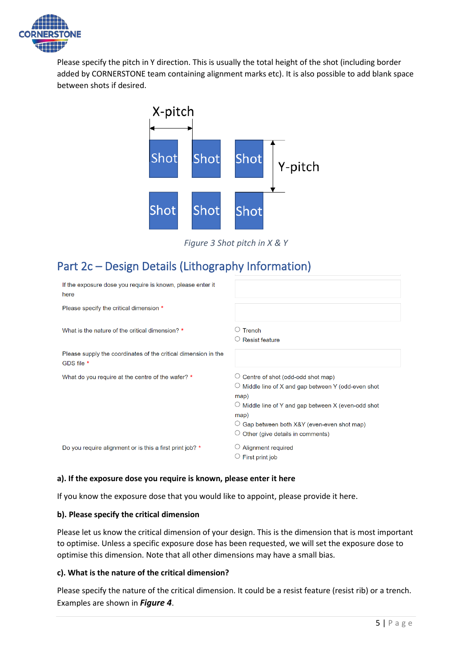

Please specify the pitch in Y direction. This is usually the total height of the shot (including border added by CORNERSTONE team containing alignment marks etc). It is also possible to add blank space between shots if desired.



*Figure 3 Shot pitch in X & Y*

# Part 2c – Design Details (Lithography Information)

| If the exposure dose you require is known, please enter it<br>here           |                                                                                                                                                                                                                                                                      |
|------------------------------------------------------------------------------|----------------------------------------------------------------------------------------------------------------------------------------------------------------------------------------------------------------------------------------------------------------------|
| Please specify the critical dimension *                                      |                                                                                                                                                                                                                                                                      |
| What is the nature of the critical dimension? *                              | $\circ$ Trench<br><b>Resist feature</b>                                                                                                                                                                                                                              |
| Please supply the coordinates of the critical dimension in the<br>GDS file * |                                                                                                                                                                                                                                                                      |
| What do you require at the centre of the wafer? *                            | Centre of shot (odd-odd shot map)<br>$\circ$ Middle line of X and gap between Y (odd-even shot<br>map)<br>$\circ$ Middle line of Y and gap between X (even-odd shot<br>map)<br>$\circ$ Gap between both X&Y (even-even shot map)<br>Other (give details in comments) |
| Do you require alignment or is this a first print job? *                     | <b>Alignment required</b><br>First print job                                                                                                                                                                                                                         |

### **a). If the exposure dose you require is known, please enter it here**

If you know the exposure dose that you would like to appoint, please provide it here.

### **b). Please specify the critical dimension**

Please let us know the critical dimension of your design. This is the dimension that is most important to optimise. Unless a specific exposure dose has been requested, we will set the exposure dose to optimise this dimension. Note that all other dimensions may have a small bias.

## **c). What is the nature of the critical dimension?**

Please specify the nature of the critical dimension. It could be a resist feature (resist rib) or a trench. Examples are shown in *[Figure 4](#page-5-0)*.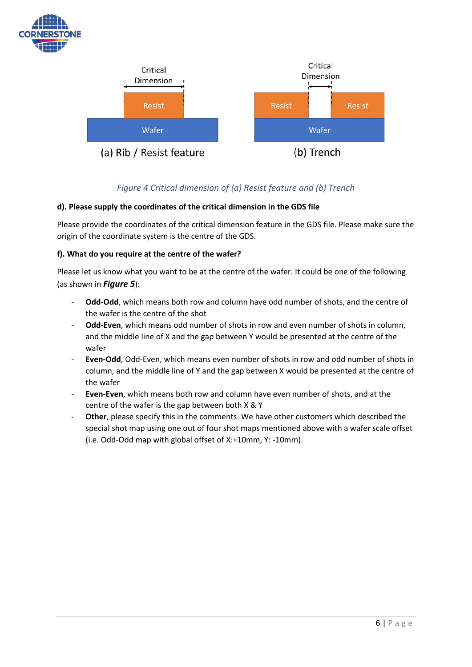



# *Figure 4 Critical dimension of (a) Resist feature and (b) Trench*

# <span id="page-5-0"></span>**d). Please supply the coordinates of the critical dimension in the GDS file**

Please provide the coordinates of the critical dimension feature in the GDS file. Please make sure the origin of the coordinate system is the centre of the GDS.

# **f). What do you require at the centre of the wafer?**

Please let us know what you want to be at the centre of the wafer. It could be one of the following (as shown in *[Figure 5](#page-6-0)*):

- **Odd-Odd**, which means both row and column have odd number of shots, and the centre of the wafer is the centre of the shot
- Odd-Even, which means odd number of shots in row and even number of shots in column, and the middle line of X and the gap between Y would be presented at the centre of the wafer
- **Even-Odd**, Odd-Even, which means even number of shots in row and odd number of shots in column, and the middle line of Y and the gap between X would be presented at the centre of the wafer
- **Even-Even**, which means both row and column have even number of shots, and at the centre of the wafer is the gap between both X & Y
- Other, please specify this in the comments. We have other customers which described the special shot map using one out of four shot maps mentioned above with a wafer scale offset (i.e. Odd-Odd map with global offset of X:+10mm, Y: -10mm).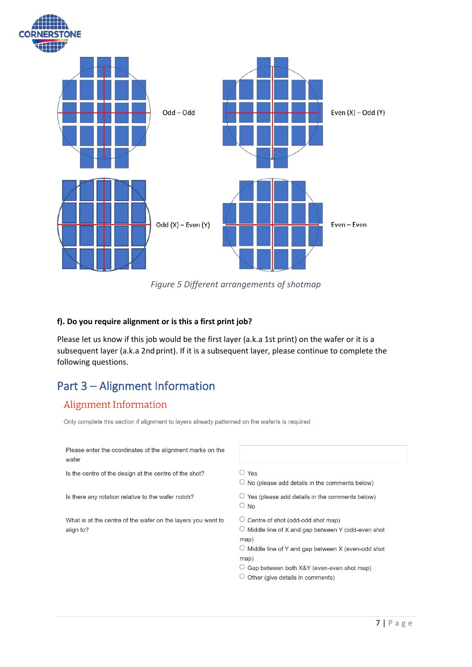

*Figure 5 Different arrangements of shotmap*

# <span id="page-6-0"></span>**f). Do you require alignment or is this a first print job?**

Please let us know if this job would be the first layer (a.k.a 1st print) on the wafer or it is a subsequent layer (a.k.a 2nd print). If it is a subsequent layer, please continue to complete the following questions.

# Part 3 – Alignment Information

# **Alignment Information**

Only complete this section if alignment to layers already patterned on the wafer/s is required

| Please enter the coordinates of the alignment marks on the<br>wafer       |                                                                                                                                                                                                                                                                                    |
|---------------------------------------------------------------------------|------------------------------------------------------------------------------------------------------------------------------------------------------------------------------------------------------------------------------------------------------------------------------------|
| Is the centre of the design at the centre of the shot?                    | $\bigcirc$ Yes<br>$\circlearrowright$ No (please add details in the comments below)                                                                                                                                                                                                |
| Is there any rotation relative to the wafer notch?                        | Yes (please add details in the comments below)<br>$\circ$ No                                                                                                                                                                                                                       |
| What is at the centre of the wafer on the layers you want to<br>align to? | $\circ$ Centre of shot (odd-odd shot map)<br>$\circ$ Middle line of X and gap between Y (odd-even shot<br>map)<br>$\circlearrowright$ Middle line of Y and gap between X (even-odd shot<br>map)<br>○ Gap between both X&Y (even-even shot map)<br>Other (give details in comments) |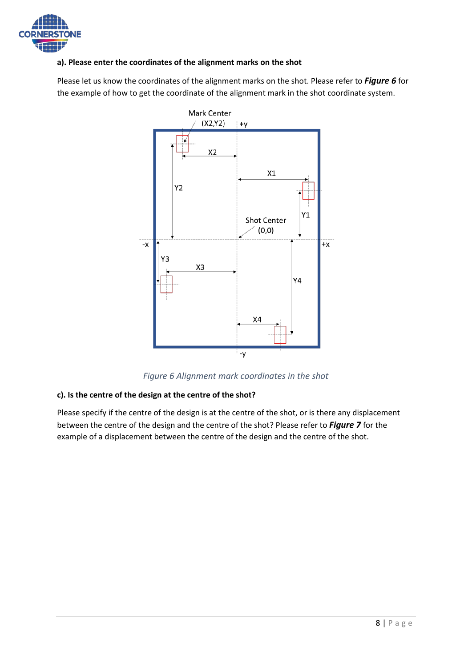

# **a). Please enter the coordinates of the alignment marks on the shot**

Please let us know the coordinates of the alignment marks on the shot. Please refer to *[Figure 6](#page-7-0)* for the example of how to get the coordinate of the alignment mark in the shot coordinate system.



*Figure 6 Alignment mark coordinates in the shot*

# <span id="page-7-0"></span>**c). Is the centre of the design at the centre of the shot?**

Please specify if the centre of the design is at the centre of the shot, or is there any displacement between the centre of the design and the centre of the shot? Please refer to *[Figure 7](#page-8-0)* for the example of a displacement between the centre of the design and the centre of the shot.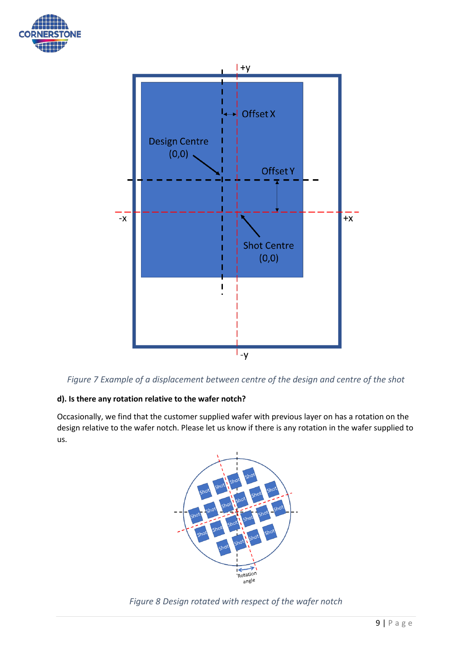



<span id="page-8-0"></span>

# **d). Is there any rotation relative to the wafer notch?**

Occasionally, we find that the customer supplied wafer with previous layer on has a rotation on the design relative to the wafer notch. Please let us know if there is any rotation in the wafer supplied to us.



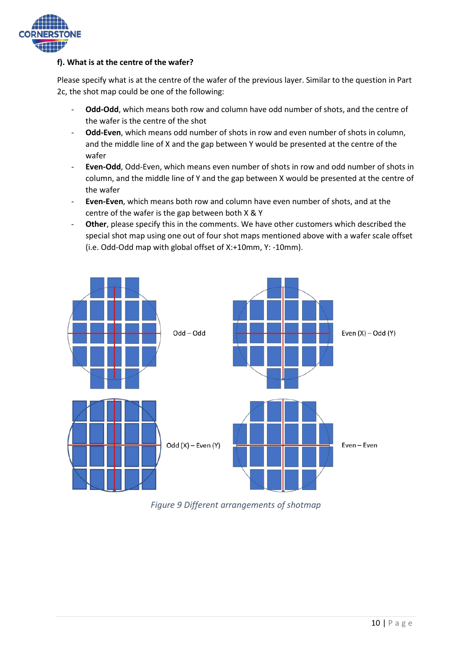

# **f). What is at the centre of the wafer?**

Please specify what is at the centre of the wafer of the previous layer. Similar to the question in Part 2c, the shot map could be one of the following:

- **Odd-Odd**, which means both row and column have odd number of shots, and the centre of the wafer is the centre of the shot
- **Odd-Even**, which means odd number of shots in row and even number of shots in column, and the middle line of X and the gap between Y would be presented at the centre of the wafer
- **Even-Odd**, Odd-Even, which means even number of shots in row and odd number of shots in column, and the middle line of Y and the gap between X would be presented at the centre of the wafer
- **Even-Even**, which means both row and column have even number of shots, and at the centre of the wafer is the gap between both X & Y
- **Other**, please specify this in the comments. We have other customers which described the special shot map using one out of four shot maps mentioned above with a wafer scale offset (i.e. Odd-Odd map with global offset of X:+10mm, Y: -10mm).



*Figure 9 Different arrangements of shotmap*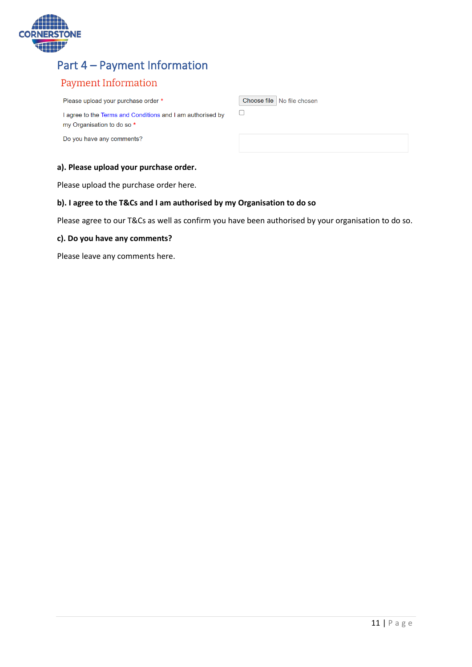

# Part 4 – Payment Information

# Payment Information

Please upload your purchase order \*

I agree to the Terms and Conditions and I am authorised by my Organisation to do so \*

Do you have any comments?

# **a). Please upload your purchase order.**

Please upload the purchase order here.

### **b). I agree to the T&Cs and I am authorised by my Organisation to do so**

Please agree to our T&Cs as well as confirm you have been authorised by your organisation to do so.

# **c). Do you have any comments?**

Please leave any comments here.

Choose file No file chosen

 $\hfill \square$